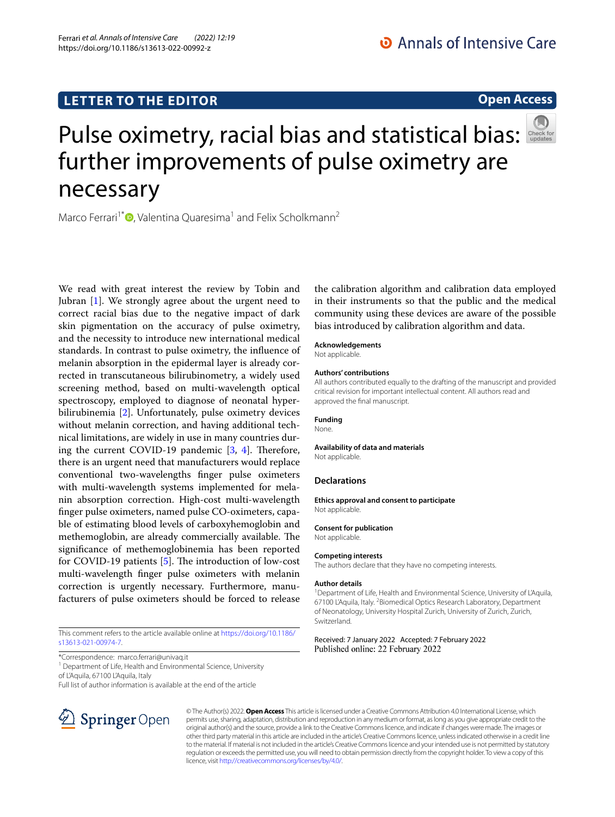# **LETTER TO THE EDITOR**

## **Open Access**



# Pulseoximetry, racial bias and statistical bias: further improvements of pulse oximetry are necessary

Marco Ferrari<sup>1\*</sup>  $\bullet$ [,](http://orcid.org/0000-0002-3041-2917) Valentina Quaresima<sup>1</sup> and Felix Scholkmann<sup>2</sup>

We read with great interest the review by Tobin and Jubran [[1](#page-1-0)]. We strongly agree about the urgent need to correct racial bias due to the negative impact of dark skin pigmentation on the accuracy of pulse oximetry, and the necessity to introduce new international medical standards. In contrast to pulse oximetry, the infuence of melanin absorption in the epidermal layer is already corrected in transcutaneous bilirubinometry, a widely used screening method, based on multi-wavelength optical spectroscopy, employed to diagnose of neonatal hyperbilirubinemia [[2](#page-1-1)]. Unfortunately, pulse oximetry devices without melanin correction, and having additional technical limitations, are widely in use in many countries during the current COVID-19 pandemic  $[3, 4]$  $[3, 4]$  $[3, 4]$  $[3, 4]$ . Therefore, there is an urgent need that manufacturers would replace conventional two-wavelengths fnger pulse oximeters with multi-wavelength systems implemented for melanin absorption correction. High-cost multi-wavelength fnger pulse oximeters, named pulse CO-oximeters, capable of estimating blood levels of carboxyhemoglobin and methemoglobin, are already commercially available. The signifcance of methemoglobinemia has been reported for COVID-19 patients  $[5]$  $[5]$ . The introduction of low-cost multi-wavelength fnger pulse oximeters with melanin correction is urgently necessary. Furthermore, manufacturers of pulse oximeters should be forced to release

This comment refers to the article available online at [https://doi.org/10.1186/](https://doi.org/10.1186/s13613-021-00974-7) [s13613-021-00974-7](https://doi.org/10.1186/s13613-021-00974-7).

\*Correspondence: marco.ferrari@univaq.it

<sup>1</sup> Department of Life, Health and Environmental Science, University of L'Aquila, 67100 L'Aquila, Italy

Full list of author information is available at the end of the article



the calibration algorithm and calibration data employed in their instruments so that the public and the medical community using these devices are aware of the possible bias introduced by calibration algorithm and data.

# **Acknowledgements**

Not applicable.

#### **Authors' contributions**

All authors contributed equally to the drafting of the manuscript and provided critical revision for important intellectual content. All authors read and approved the fnal manuscript.

#### **Funding**

None.

## **Availability of data and materials**

Not applicable.

#### **Declarations**

**Ethics approval and consent to participate** Not applicable.

#### **Consent for publication**

Not applicable.

#### **Competing interests**

The authors declare that they have no competing interests.

#### **Author details**

<sup>1</sup> Department of Life, Health and Environmental Science, University of L'Aquila, 67100 L'Aquila, Italy. <sup>2</sup> Biomedical Optics Research Laboratory, Department of Neonatology, University Hospital Zurich, University of Zurich, Zurich, Switzerland.

### Received: 7 January 2022 Accepted: 7 February 2022 Published online: 22 February 2022

© The Author(s) 2022. **Open Access** This article is licensed under a Creative Commons Attribution 4.0 International License, which permits use, sharing, adaptation, distribution and reproduction in any medium or format, as long as you give appropriate credit to the original author(s) and the source, provide a link to the Creative Commons licence, and indicate if changes were made. The images or other third party material in this article are included in the article's Creative Commons licence, unless indicated otherwise in a credit line to the material. If material is not included in the article's Creative Commons licence and your intended use is not permitted by statutory regulation or exceeds the permitted use, you will need to obtain permission directly from the copyright holder. To view a copy of this licence, visit [http://creativecommons.org/licenses/by/4.0/.](http://creativecommons.org/licenses/by/4.0/)